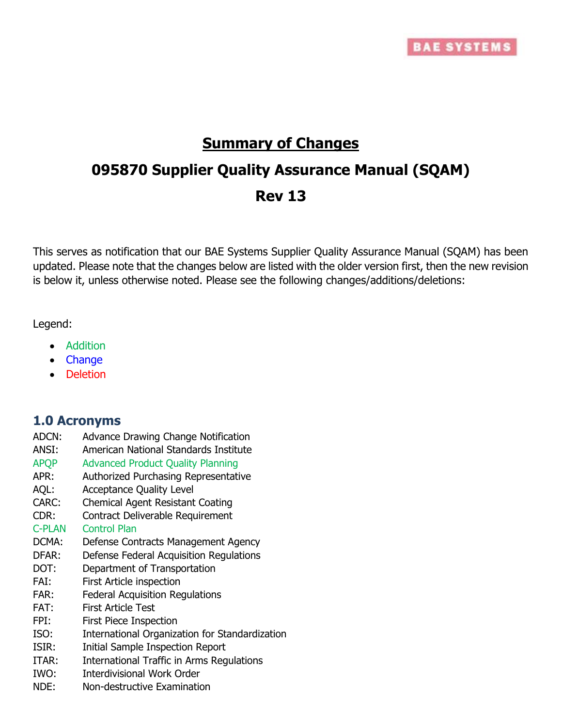

# **Summary of Changes**

# **095870 Supplier Quality Assurance Manual (SQAM) Rev 13**

This serves as notification that our BAE Systems Supplier Quality Assurance Manual (SQAM) has been updated. Please note that the changes below are listed with the older version first, then the new revision is below it, unless otherwise noted. Please see the following changes/additions/deletions:

Legend:

- Addition
- Change
- Deletion

### **1.0 Acronyms**

- ADCN: Advance Drawing Change Notification
- ANSI: American National Standards Institute
- APQP Advanced Product Quality Planning
- APR: Authorized Purchasing Representative
- AQL: Acceptance Quality Level
- CARC: Chemical Agent Resistant Coating
- CDR: Contract Deliverable Requirement
- C-PLAN Control Plan
- DCMA: Defense Contracts Management Agency
- DFAR: Defense Federal Acquisition Regulations
- DOT: Department of Transportation
- FAI: First Article inspection
- FAR: Federal Acquisition Regulations
- FAT: First Article Test
- FPI: First Piece Inspection
- ISO: International Organization for Standardization
- ISIR: Initial Sample Inspection Report
- ITAR: International Traffic in Arms Regulations
- IWO: Interdivisional Work Order
- NDE: Non-destructive Examination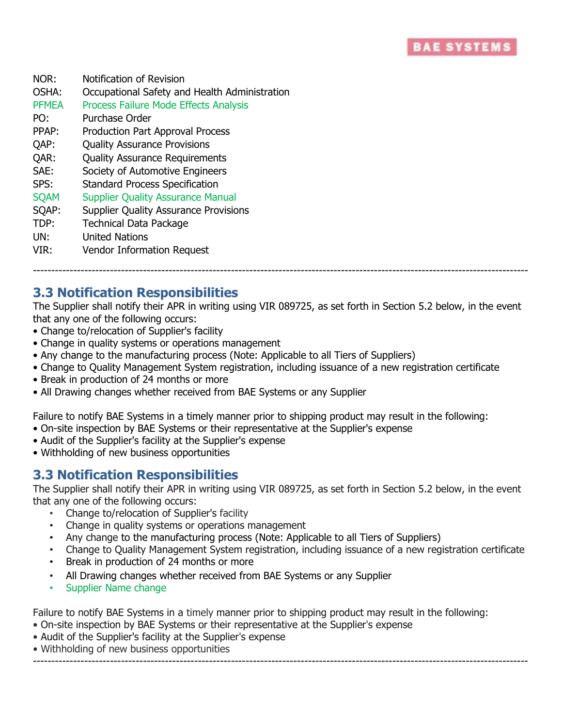

| NOR:         | Notification of Revision                      |
|--------------|-----------------------------------------------|
| OSHA:        | Occupational Safety and Health Administration |
| <b>PFMEA</b> | <b>Process Failure Mode Effects Analysis</b>  |
| PO:          | Purchase Order                                |
| PPAP:        | <b>Production Part Approval Process</b>       |
| QAP:         | <b>Quality Assurance Provisions</b>           |
| QAR:         | <b>Quality Assurance Requirements</b>         |
| SAE:         | Society of Automotive Engineers               |
| SPS:         | <b>Standard Process Specification</b>         |
| <b>SQAM</b>  | <b>Supplier Quality Assurance Manual</b>      |
| SQAP:        | <b>Supplier Quality Assurance Provisions</b>  |
| TDP:         | <b>Technical Data Package</b>                 |
| UN:          | <b>United Nations</b>                         |
| VIR:         | <b>Vendor Information Request</b>             |
|              |                                               |

#### ---------------------------------------------------------------------------------------------------------------------------------------

#### **3.3 Notification Responsibilities**

The Supplier shall notify their APR in writing using VIR 089725, as set forth in Section 5.2 below, in the event that any one of the following occurs:

- Change to/relocation of Supplier's facility
- Change in quality systems or operations management
- Any change to the manufacturing process (Note: Applicable to all Tiers of Suppliers)
- Change to Quality Management System registration, including issuance of a new registration certificate
- Break in production of 24 months or more
- All Drawing changes whether received from BAE Systems or any Supplier

Failure to notify BAE Systems in a timely manner prior to shipping product may result in the following:

- On-site inspection by BAE Systems or their representative at the Supplier's expense
- Audit of the Supplier's facility at the Supplier's expense
- Withholding of new business opportunities

#### **3.3 Notification Responsibilities**

The Supplier shall notify their APR in writing using VIR 089725, as set forth in Section 5.2 below, in the event that any one of the following occurs:

- Change to/relocation of Supplier's facility
- Change in quality systems or operations management
- Any change to the manufacturing process (Note: Applicable to all Tiers of Suppliers)
- Change to Quality Management System registration, including issuance of a new registration certificate
- Break in production of 24 months or more
- All Drawing changes whether received from BAE Systems or any Supplier
- Supplier Name change

Failure to notify BAE Systems in a timely manner prior to shipping product may result in the following:

- On-site inspection by BAE Systems or their representative at the Supplier's expense
- Audit of the Supplier's facility at the Supplier's expense
- Withholding of new business opportunities

---------------------------------------------------------------------------------------------------------------------------------------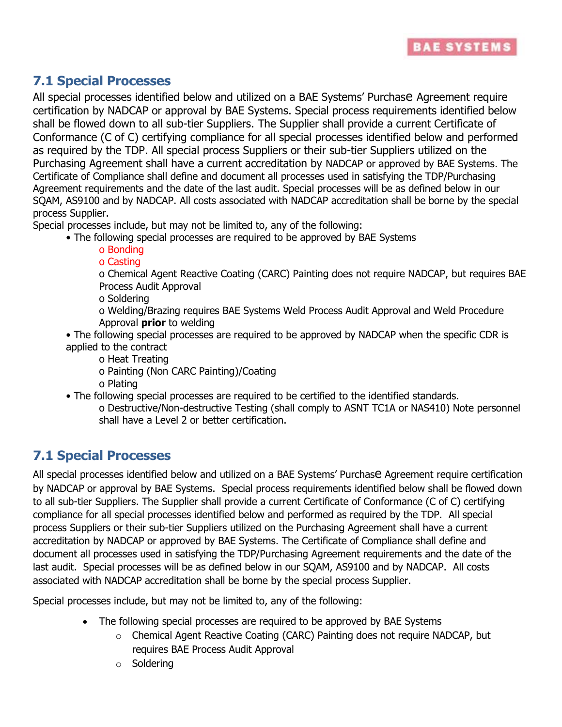

# **7.1 Special Processes**

All special processes identified below and utilized on a BAE Systems' Purchase Agreement require certification by NADCAP or approval by BAE Systems. Special process requirements identified below shall be flowed down to all sub-tier Suppliers. The Supplier shall provide a current Certificate of Conformance (C of C) certifying compliance for all special processes identified below and performed as required by the TDP. All special process Suppliers or their sub-tier Suppliers utilized on the Purchasing Agreement shall have a current accreditation by NADCAP or approved by BAE Systems. The Certificate of Compliance shall define and document all processes used in satisfying the TDP/Purchasing Agreement requirements and the date of the last audit. Special processes will be as defined below in our SQAM, AS9100 and by NADCAP. All costs associated with NADCAP accreditation shall be borne by the special process Supplier.

Special processes include, but may not be limited to, any of the following:

- The following special processes are required to be approved by BAE Systems
	- o Bonding
	- o Casting
	- o Chemical Agent Reactive Coating (CARC) Painting does not require NADCAP, but requires BAE Process Audit Approval
	- o Soldering
	- o Welding/Brazing requires BAE Systems Weld Process Audit Approval and Weld Procedure Approval **prior** to welding
- The following special processes are required to be approved by NADCAP when the specific CDR is applied to the contract
	- o Heat Treating
	- o Painting (Non CARC Painting)/Coating
	- o Plating
- The following special processes are required to be certified to the identified standards.
	- o Destructive/Non-destructive Testing (shall comply to ASNT TC1A or NAS410) Note personnel shall have a Level 2 or better certification.

# **7.1 Special Processes**

All special processes identified below and utilized on a BAE Systems' Purchase Agreement require certification by NADCAP or approval by BAE Systems. Special process requirements identified below shall be flowed down to all sub-tier Suppliers. The Supplier shall provide a current Certificate of Conformance (C of C) certifying compliance for all special processes identified below and performed as required by the TDP. All special process Suppliers or their sub-tier Suppliers utilized on the Purchasing Agreement shall have a current accreditation by NADCAP or approved by BAE Systems. The Certificate of Compliance shall define and document all processes used in satisfying the TDP/Purchasing Agreement requirements and the date of the last audit. Special processes will be as defined below in our SQAM, AS9100 and by NADCAP. All costs associated with NADCAP accreditation shall be borne by the special process Supplier.

Special processes include, but may not be limited to, any of the following:

- The following special processes are required to be approved by BAE Systems
	- o Chemical Agent Reactive Coating (CARC) Painting does not require NADCAP, but requires BAE Process Audit Approval
	- o Soldering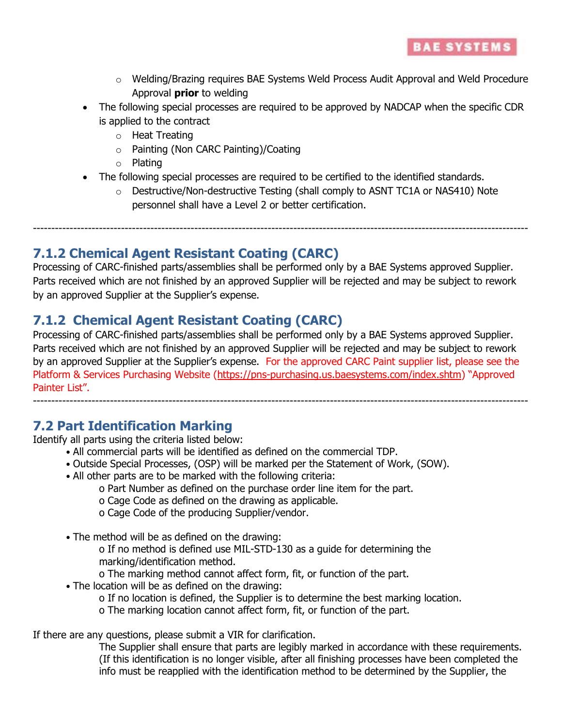- $\circ$  Welding/Brazing requires BAE Systems Weld Process Audit Approval and Weld Procedure Approval **prior** to welding
- The following special processes are required to be approved by NADCAP when the specific CDR is applied to the contract
	- o Heat Treating
	- o Painting (Non CARC Painting)/Coating
	- o Plating
- The following special processes are required to be certified to the identified standards.
	- $\circ$  Destructive/Non-destructive Testing (shall comply to ASNT TC1A or NAS410) Note personnel shall have a Level 2 or better certification.

---------------------------------------------------------------------------------------------------------------------------------------

## **7.1.2 Chemical Agent Resistant Coating (CARC)**

Processing of CARC-finished parts/assemblies shall be performed only by a BAE Systems approved Supplier. Parts received which are not finished by an approved Supplier will be rejected and may be subject to rework by an approved Supplier at the Supplier's expense.

# **7.1.2 Chemical Agent Resistant Coating (CARC)**

Processing of CARC-finished parts/assemblies shall be performed only by a BAE Systems approved Supplier. Parts received which are not finished by an approved Supplier will be rejected and may be subject to rework by an approved Supplier at the Supplier's expense. For the approved CARC Paint supplier list, please see the Platform & Services Purchasing Website [\(https://pns-purchasing.us.baesystems.com/index.shtm](https://pns-purchasing.us.baesystems.com/index.shtm)) "Approved Painter List".

---------------------------------------------------------------------------------------------------------------------------------------

# **7.2 Part Identification Marking**

Identify all parts using the criteria listed below:

- All commercial parts will be identified as defined on the commercial TDP.
- Outside Special Processes, (OSP) will be marked per the Statement of Work, (SOW).
- All other parts are to be marked with the following criteria:
	- o Part Number as defined on the purchase order line item for the part.
	- o Cage Code as defined on the drawing as applicable.
	- o Cage Code of the producing Supplier/vendor.
- The method will be as defined on the drawing:
	- o If no method is defined use MIL-STD-130 as a guide for determining the marking/identification method.

o The marking method cannot affect form, fit, or function of the part.

- The location will be as defined on the drawing:
	- o If no location is defined, the Supplier is to determine the best marking location.
	- o The marking location cannot affect form, fit, or function of the part.

If there are any questions, please submit a VIR for clarification.

The Supplier shall ensure that parts are legibly marked in accordance with these requirements. (If this identification is no longer visible, after all finishing processes have been completed the info must be reapplied with the identification method to be determined by the Supplier, the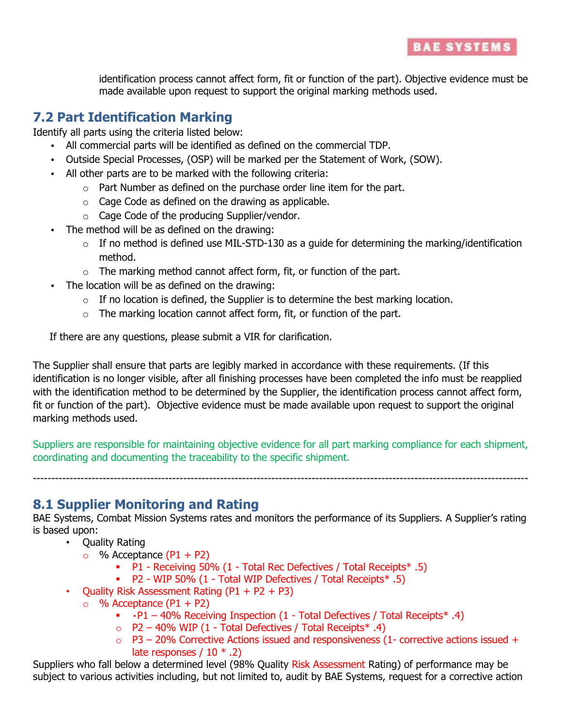

identification process cannot affect form, fit or function of the part). Objective evidence must be made available upon request to support the original marking methods used.

### **7.2 Part Identification Marking**

Identify all parts using the criteria listed below:

- All commercial parts will be identified as defined on the commercial TDP.
- Outside Special Processes, (OSP) will be marked per the Statement of Work, (SOW).
- All other parts are to be marked with the following criteria:
	- o Part Number as defined on the purchase order line item for the part.
	- $\circ$  Cage Code as defined on the drawing as applicable.
	- o Cage Code of the producing Supplier/vendor.
- The method will be as defined on the drawing:
	- $\circ$  If no method is defined use MIL-STD-130 as a quide for determining the marking/identification method.
	- $\circ$  The marking method cannot affect form, fit, or function of the part.
- The location will be as defined on the drawing:
	- $\circ$  If no location is defined, the Supplier is to determine the best marking location.
	- $\circ$  The marking location cannot affect form, fit, or function of the part.

If there are any questions, please submit a VIR for clarification.

The Supplier shall ensure that parts are legibly marked in accordance with these requirements. (If this identification is no longer visible, after all finishing processes have been completed the info must be reapplied with the identification method to be determined by the Supplier, the identification process cannot affect form, fit or function of the part). Objective evidence must be made available upon request to support the original marking methods used.

Suppliers are responsible for maintaining objective evidence for all part marking compliance for each shipment, coordinating and documenting the traceability to the specific shipment.

---------------------------------------------------------------------------------------------------------------------------------------

**8.1 Supplier Monitoring and Rating** 

BAE Systems, Combat Mission Systems rates and monitors the performance of its Suppliers. A Supplier's rating is based upon:

- Quality Rating
	- $\circ$  % Acceptance (P1 + P2)
		- P1 Receiving 50% (1 Total Rec Defectives / Total Receipts\* .5)
		- P2 WIP 50% (1 Total WIP Defectives / Total Receipts\* .5)
- Quality Risk Assessment Rating  $(P1 + P2 + P3)$ 
	- $\circ$  % Acceptance (P1 + P2)
		- $\cdot$  P1 40% Receiving Inspection (1 Total Defectives / Total Receipts\* .4)
		- $\circ$  P2 40% WIP (1 Total Defectives / Total Receipts\* .4)
		- $\circ$  P3 20% Corrective Actions issued and responsiveness (1- corrective actions issued + late responses  $/ 10$   $* .2)$

Suppliers who fall below a determined level (98% Quality Risk Assessment Rating) of performance may be subject to various activities including, but not limited to, audit by BAE Systems, request for a corrective action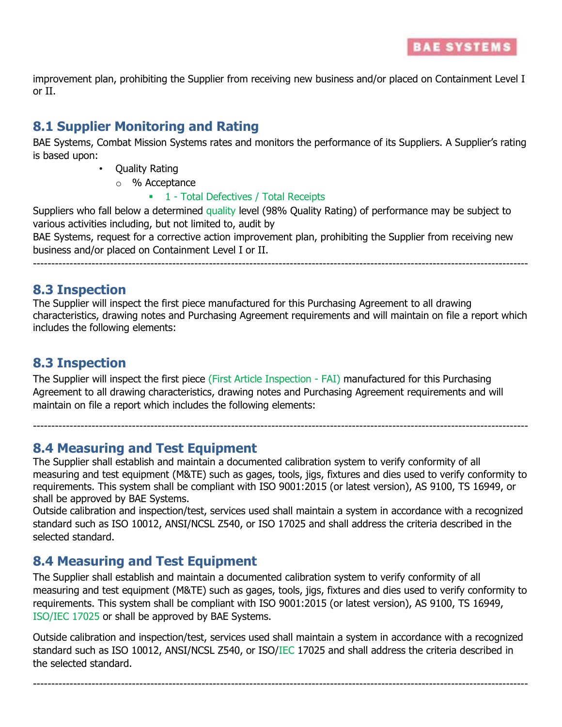improvement plan, prohibiting the Supplier from receiving new business and/or placed on Containment Level I or II.

# **8.1 Supplier Monitoring and Rating**

BAE Systems, Combat Mission Systems rates and monitors the performance of its Suppliers. A Supplier's rating is based upon:

- Quality Rating
	- o % Acceptance

#### **1** - Total Defectives / Total Receipts

Suppliers who fall below a determined quality level (98% Quality Rating) of performance may be subject to various activities including, but not limited to, audit by

BAE Systems, request for a corrective action improvement plan, prohibiting the Supplier from receiving new business and/or placed on Containment Level I or II.

---------------------------------------------------------------------------------------------------------------------------------------

### **8.3 Inspection**

The Supplier will inspect the first piece manufactured for this Purchasing Agreement to all drawing characteristics, drawing notes and Purchasing Agreement requirements and will maintain on file a report which includes the following elements:

## **8.3 Inspection**

The Supplier will inspect the first piece (First Article Inspection - FAI) manufactured for this Purchasing Agreement to all drawing characteristics, drawing notes and Purchasing Agreement requirements and will maintain on file a report which includes the following elements:

**8.4 Measuring and Test Equipment** 

The Supplier shall establish and maintain a documented calibration system to verify conformity of all measuring and test equipment (M&TE) such as gages, tools, jigs, fixtures and dies used to verify conformity to requirements. This system shall be compliant with ISO 9001:2015 (or latest version), AS 9100, TS 16949, or shall be approved by BAE Systems.

---------------------------------------------------------------------------------------------------------------------------------------

Outside calibration and inspection/test, services used shall maintain a system in accordance with a recognized standard such as ISO 10012, ANSI/NCSL Z540, or ISO 17025 and shall address the criteria described in the selected standard.

# **8.4 Measuring and Test Equipment**

The Supplier shall establish and maintain a documented calibration system to verify conformity of all measuring and test equipment (M&TE) such as gages, tools, jigs, fixtures and dies used to verify conformity to requirements. This system shall be compliant with ISO 9001:2015 (or latest version), AS 9100, TS 16949, ISO/IEC 17025 or shall be approved by BAE Systems.

Outside calibration and inspection/test, services used shall maintain a system in accordance with a recognized standard such as ISO 10012, ANSI/NCSL Z540, or ISO/IEC 17025 and shall address the criteria described in the selected standard.

---------------------------------------------------------------------------------------------------------------------------------------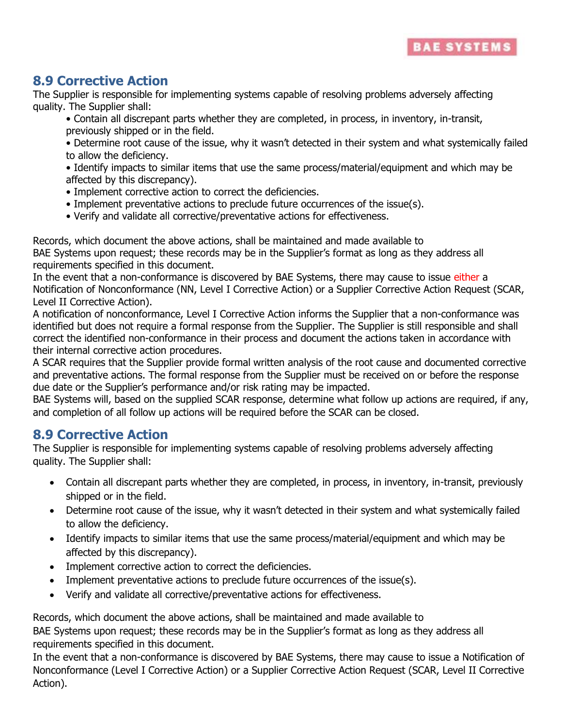# **8.9 Corrective Action**

The Supplier is responsible for implementing systems capable of resolving problems adversely affecting quality. The Supplier shall:

• Contain all discrepant parts whether they are completed, in process, in inventory, in-transit, previously shipped or in the field.

• Determine root cause of the issue, why it wasn't detected in their system and what systemically failed to allow the deficiency.

• Identify impacts to similar items that use the same process/material/equipment and which may be affected by this discrepancy).

- Implement corrective action to correct the deficiencies.
- Implement preventative actions to preclude future occurrences of the issue(s).
- Verify and validate all corrective/preventative actions for effectiveness.

Records, which document the above actions, shall be maintained and made available to BAE Systems upon request; these records may be in the Supplier's format as long as they address all requirements specified in this document.

In the event that a non-conformance is discovered by BAE Systems, there may cause to issue either a Notification of Nonconformance (NN, Level I Corrective Action) or a Supplier Corrective Action Request (SCAR, Level II Corrective Action).

A notification of nonconformance, Level I Corrective Action informs the Supplier that a non-conformance was identified but does not require a formal response from the Supplier. The Supplier is still responsible and shall correct the identified non-conformance in their process and document the actions taken in accordance with their internal corrective action procedures.

A SCAR requires that the Supplier provide formal written analysis of the root cause and documented corrective and preventative actions. The formal response from the Supplier must be received on or before the response due date or the Supplier's performance and/or risk rating may be impacted.

BAE Systems will, based on the supplied SCAR response, determine what follow up actions are required, if any, and completion of all follow up actions will be required before the SCAR can be closed.

### **8.9 Corrective Action**

The Supplier is responsible for implementing systems capable of resolving problems adversely affecting quality. The Supplier shall:

- Contain all discrepant parts whether they are completed, in process, in inventory, in-transit, previously shipped or in the field.
- Determine root cause of the issue, why it wasn't detected in their system and what systemically failed to allow the deficiency.
- Identify impacts to similar items that use the same process/material/equipment and which may be affected by this discrepancy).
- Implement corrective action to correct the deficiencies.
- Implement preventative actions to preclude future occurrences of the issue(s).
- Verify and validate all corrective/preventative actions for effectiveness.

Records, which document the above actions, shall be maintained and made available to

BAE Systems upon request; these records may be in the Supplier's format as long as they address all requirements specified in this document.

In the event that a non-conformance is discovered by BAE Systems, there may cause to issue a Notification of Nonconformance (Level I Corrective Action) or a Supplier Corrective Action Request (SCAR, Level II Corrective Action).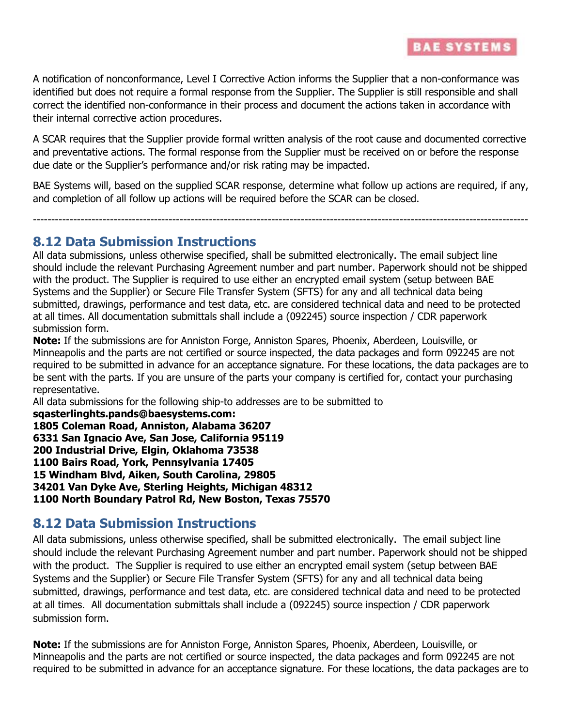

A notification of nonconformance, Level I Corrective Action informs the Supplier that a non-conformance was identified but does not require a formal response from the Supplier. The Supplier is still responsible and shall correct the identified non-conformance in their process and document the actions taken in accordance with their internal corrective action procedures.

A SCAR requires that the Supplier provide formal written analysis of the root cause and documented corrective and preventative actions. The formal response from the Supplier must be received on or before the response due date or the Supplier's performance and/or risk rating may be impacted.

BAE Systems will, based on the supplied SCAR response, determine what follow up actions are required, if any, and completion of all follow up actions will be required before the SCAR can be closed.

---------------------------------------------------------------------------------------------------------------------------------------

#### **8.12 Data Submission Instructions**

All data submissions, unless otherwise specified, shall be submitted electronically. The email subject line should include the relevant Purchasing Agreement number and part number. Paperwork should not be shipped with the product. The Supplier is required to use either an encrypted email system (setup between BAE Systems and the Supplier) or Secure File Transfer System (SFTS) for any and all technical data being submitted, drawings, performance and test data, etc. are considered technical data and need to be protected at all times. All documentation submittals shall include a (092245) source inspection / CDR paperwork submission form.

**Note:** If the submissions are for Anniston Forge, Anniston Spares, Phoenix, Aberdeen, Louisville, or Minneapolis and the parts are not certified or source inspected, the data packages and form 092245 are not required to be submitted in advance for an acceptance signature. For these locations, the data packages are to be sent with the parts. If you are unsure of the parts your company is certified for, contact your purchasing representative.

All data submissions for the following ship-to addresses are to be submitted to

**sqasterlinghts.pands@baesystems.com: 1805 Coleman Road, Anniston, Alabama 36207 6331 San Ignacio Ave, San Jose, California 95119 200 Industrial Drive, Elgin, Oklahoma 73538 1100 Bairs Road, York, Pennsylvania 17405 15 Windham Blvd, Aiken, South Carolina, 29805 34201 Van Dyke Ave, Sterling Heights, Michigan 48312 1100 North Boundary Patrol Rd, New Boston, Texas 75570**

# **8.12 Data Submission Instructions**

All data submissions, unless otherwise specified, shall be submitted electronically. The email subject line should include the relevant Purchasing Agreement number and part number. Paperwork should not be shipped with the product. The Supplier is required to use either an encrypted email system (setup between BAE Systems and the Supplier) or Secure File Transfer System (SFTS) for any and all technical data being submitted, drawings, performance and test data, etc. are considered technical data and need to be protected at all times. All documentation submittals shall include a (092245) source inspection / CDR paperwork submission form.

**Note:** If the submissions are for Anniston Forge, Anniston Spares, Phoenix, Aberdeen, Louisville, or Minneapolis and the parts are not certified or source inspected, the data packages and form 092245 are not required to be submitted in advance for an acceptance signature. For these locations, the data packages are to